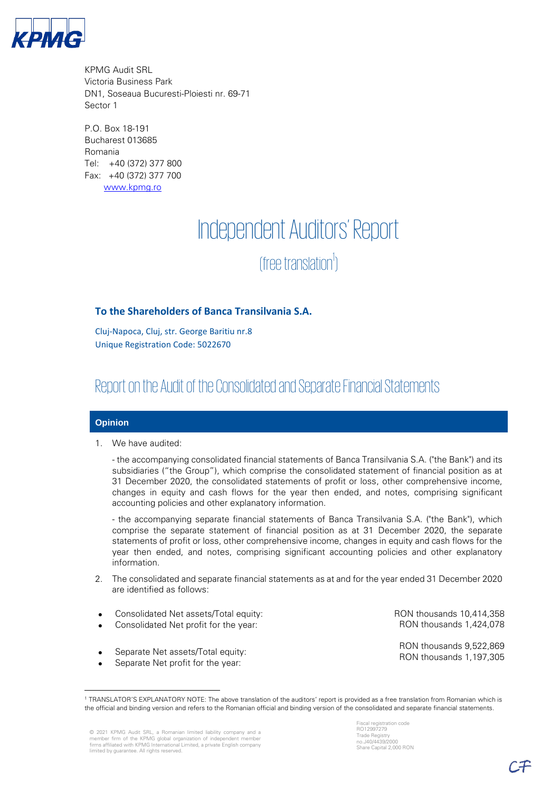

KPMG Audit SRL Victoria Business Park DN1, Soseaua Bucuresti-Ploiesti nr. 69-71 Sector 1

P.O. Box 18-191 Bucharest 013685 Romania Tel: +40 (372) 377 800 Fax: +40 (372) 377 700 [www.kpmg.ro](http://www.kpmg.ro/)

# Independent Auditors' Report (free translation<sup>1</sup>) )

# **To the Shareholders of Banca Transilvania S.A.**

Cluj-Napoca, Cluj, str. George Baritiu nr.8 Unique Registration Code: 5022670

# Report on the Audit of the Consolidated and Separate Financial Statements

### **Opinion**

1. We have audited:

- the accompanying consolidated financial statements of Banca Transilvania S.A. ("the Bank") and its subsidiaries ("the Group"), which comprise the consolidated statement of financial position as at 31 December 2020, the consolidated statements of profit or loss, other comprehensive income, changes in equity and cash flows for the year then ended, and notes, comprising significant accounting policies and other explanatory information.

- the accompanying separate financial statements of Banca Transilvania S.A. ("the Bank"), which comprise the separate statement of financial position as at 31 December 2020, the separate statements of profit or loss, other comprehensive income, changes in equity and cash flows for the year then ended, and notes, comprising significant accounting policies and other explanatory information.

- 2. The consolidated and separate financial statements as at and for the year ended 31 December 2020 are identified as follows:
- Consolidated Net assets/Total equity:
- Consolidated Net profit for the year:
- Separate Net assets/Total equity:
- Separate Net profit for the year:

RON thousands 10,414,358 RON thousands 1,424,078

RON thousands 9,522,869 RON thousands 1,197,305

<sup>1</sup> TRANSLATOR'S EXPLANATORY NOTE: The above translation of the auditors' report is provided as a free translation from Romanian which is the official and binding version and refers to the Romanian official and binding version of the consolidated and separate financial statements.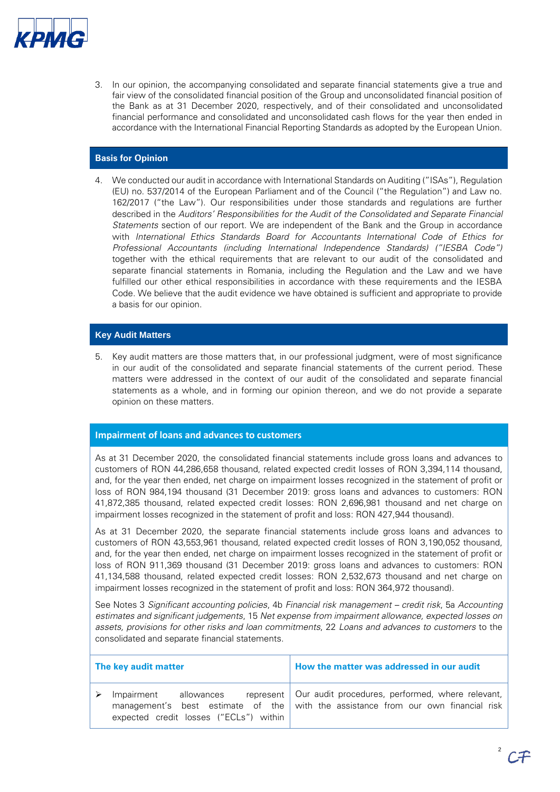

3. In our opinion, the accompanying consolidated and separate financial statements give a true and fair view of the consolidated financial position of the Group and unconsolidated financial position of the Bank as at 31 December 2020, respectively, and of their consolidated and unconsolidated financial performance and consolidated and unconsolidated cash flows for the year then ended in accordance with the International Financial Reporting Standards as adopted by the European Union.

## **Basis for Opinion**

4. We conducted our audit in accordance with International Standards on Auditing ("ISAs"), Regulation (EU) no. 537/2014 of the European Parliament and of the Council ("the Regulation") and Law no. 162/2017 ("the Law"). Our responsibilities under those standards and regulations are further described in the Auditors' Responsibilities for the Audit of the Consolidated and Separate Financial Statements section of our report. We are independent of the Bank and the Group in accordance with International Ethics Standards Board for Accountants International Code of Ethics for Professional Accountants (including International Independence Standards) ("IESBA Code") together with the ethical requirements that are relevant to our audit of the consolidated and separate financial statements in Romania, including the Regulation and the Law and we have fulfilled our other ethical responsibilities in accordance with these requirements and the IESBA Code. We believe that the audit evidence we have obtained is sufficient and appropriate to provide a basis for our opinion.

### **Key Audit Matters**

5. Key audit matters are those matters that, in our professional judgment, were of most significance in our audit of the consolidated and separate financial statements of the current period. These matters were addressed in the context of our audit of the consolidated and separate financial statements as a whole, and in forming our opinion thereon, and we do not provide a separate opinion on these matters.

#### **Impairment of loans and advances to customers**

As at 31 December 2020, the consolidated financial statements include gross loans and advances to customers of RON 44,286,658 thousand, related expected credit losses of RON 3,394,114 thousand, and, for the year then ended, net charge on impairment losses recognized in the statement of profit or loss of RON 984,194 thousand (31 December 2019: gross loans and advances to customers: RON 41,872,385 thousand, related expected credit losses: RON 2,696,981 thousand and net charge on impairment losses recognized in the statement of profit and loss: RON 427,944 thousand).

As at 31 December 2020, the separate financial statements include gross loans and advances to customers of RON 43,553,961 thousand, related expected credit losses of RON 3,190,052 thousand, and, for the year then ended, net charge on impairment losses recognized in the statement of profit or loss of RON 911,369 thousand (31 December 2019: gross loans and advances to customers: RON 41,134,588 thousand, related expected credit losses: RON 2,532,673 thousand and net charge on impairment losses recognized in the statement of profit and loss: RON 364,972 thousand).

See Notes 3 Significant accounting policies, 4b Financial risk management – credit risk, 5a Accounting estimates and significant judgements, 15 Net expense from impairment allowance, expected losses on assets, provisions for other risks and loan commitments, 22 Loans and advances to customers to the consolidated and separate financial statements.

| The key audit matter |                                                                 | How the matter was addressed in our audit                                                                                                         |
|----------------------|-----------------------------------------------------------------|---------------------------------------------------------------------------------------------------------------------------------------------------|
|                      | Impairment allowances<br>expected credit losses ("ECLs") within | represent   Our audit procedures, performed, where relevant,<br>management's best estimate of the with the assistance from our own financial risk |

2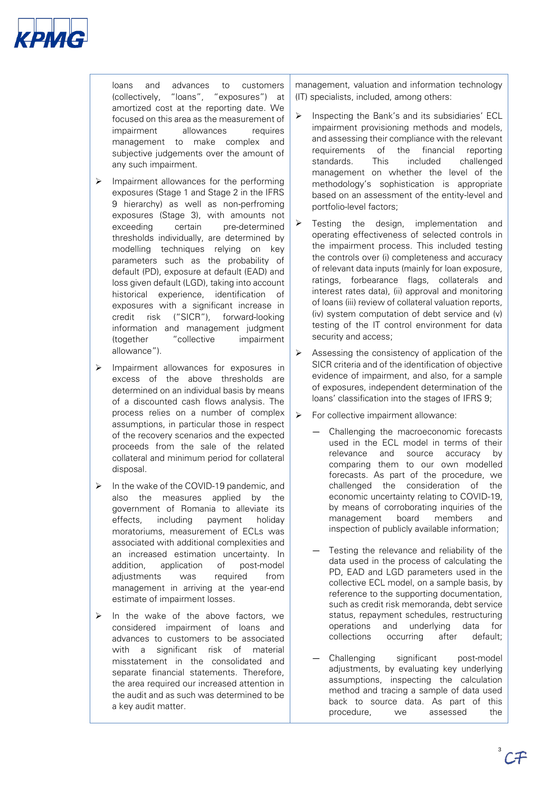

loans and advances to customers (collectively, "loans", "exposures") at amortized cost at the reporting date. We focused on this area as the measurement of impairment allowances requires management to make complex and subjective judgements over the amount of any such impairment.

- ➢ Impairment allowances for the performing exposures (Stage 1 and Stage 2 in the IFRS 9 hierarchy) as well as non-perfroming exposures (Stage 3), with amounts not exceeding certain pre-determined thresholds individually, are determined by modelling techniques relying on key parameters such as the probability of default (PD), exposure at default (EAD) and loss given default (LGD), taking into account historical experience, identification of exposures with a significant increase in credit risk ("SICR"), forward-looking information and management judgment (together "collective impairment allowance").
- ➢ Impairment allowances for exposures in excess of the above thresholds are determined on an individual basis by means of a discounted cash flows analysis. The process relies on a number of complex assumptions, in particular those in respect of the recovery scenarios and the expected proceeds from the sale of the related collateral and minimum period for collateral disposal.
- ➢ In the wake of the COVID-19 pandemic, and also the measures applied by the government of Romania to alleviate its effects, including payment holiday moratoriums, measurement of ECLs was associated with additional complexities and an increased estimation uncertainty. In addition, application of post-model adjustments was required from management in arriving at the year-end estimate of impairment losses.
- $\triangleright$  In the wake of the above factors, we considered impairment of loans and advances to customers to be associated with a significant risk of material misstatement in the consolidated and separate financial statements. Therefore, the area required our increased attention in the audit and as such was determined to be a key audit matter.

management, valuation and information technology (IT) specialists, included, among others:

- Inspecting the Bank's and its subsidiaries' ECL impairment provisioning methods and models, and assessing their compliance with the relevant requirements of the financial reporting standards. This included challenged management on whether the level of the methodology's sophistication is appropriate based on an assessment of the entity-level and portfolio-level factors;
- Testing the design, implementation and operating effectiveness of selected controls in the impairment process. This included testing the controls over (i) completeness and accuracy of relevant data inputs (mainly for loan exposure, ratings, forbearance flags, collaterals and interest rates data), (ii) approval and monitoring of loans (iii) review of collateral valuation reports, (iv) system computation of debt service and (v) testing of the IT control environment for data security and access;
- $\triangleright$  Assessing the consistency of application of the SICR criteria and of the identification of objective evidence of impairment, and also, for a sample of exposures, independent determination of the loans' classification into the stages of IFRS 9;
- ➢ For collective impairment allowance:
	- Challenging the macroeconomic forecasts used in the ECL model in terms of their relevance and source accuracy by comparing them to our own modelled forecasts. As part of the procedure, we challenged the consideration of the economic uncertainty relating to COVID-19, by means of corroborating inquiries of the management board members and inspection of publicly available information;
	- Testing the relevance and reliability of the data used in the process of calculating the PD, EAD and LGD parameters used in the collective ECL model, on a sample basis, by reference to the supporting documentation, such as credit risk memoranda, debt service status, repayment schedules, restructuring operations and underlying data for collections occurring after default;
	- Challenging significant post-model adjustments, by evaluating key underlying assumptions, inspecting the calculation method and tracing a sample of data used back to source data. As part of this procedure, we assessed the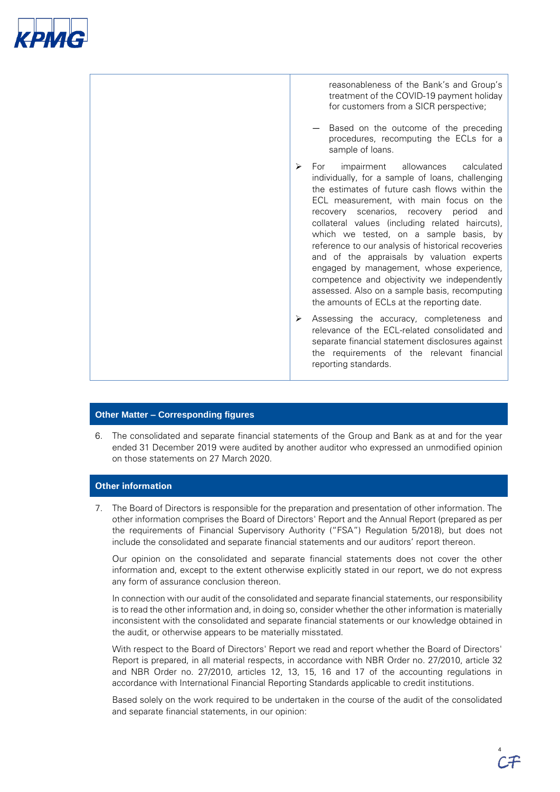



# **Other Matter – Corresponding figures**

6. The consolidated and separate financial statements of the Group and Bank as at and for the year ended 31 December 2019 were audited by another auditor who expressed an unmodified opinion on those statements on 27 March 2020.

# **Other information**

7. The Board of Directors is responsible for the preparation and presentation of other information. The other information comprises the Board of Directors' Report and the Annual Report (prepared as per the requirements of Financial Supervisory Authority ("FSA") Regulation 5/2018), but does not include the consolidated and separate financial statements and our auditors' report thereon.

Our opinion on the consolidated and separate financial statements does not cover the other information and, except to the extent otherwise explicitly stated in our report, we do not express any form of assurance conclusion thereon.

In connection with our audit of the consolidated and separate financial statements, our responsibility is to read the other information and, in doing so, consider whether the other information is materially inconsistent with the consolidated and separate financial statements or our knowledge obtained in the audit, or otherwise appears to be materially misstated.

With respect to the Board of Directors' Report we read and report whether the Board of Directors' Report is prepared, in all material respects, in accordance with NBR Order no. 27/2010, article 32 and NBR Order no. 27/2010, articles 12, 13, 15, 16 and 17 of the accounting regulations in accordance with International Financial Reporting Standards applicable to credit institutions.

Based solely on the work required to be undertaken in the course of the audit of the consolidated and separate financial statements, in our opinion: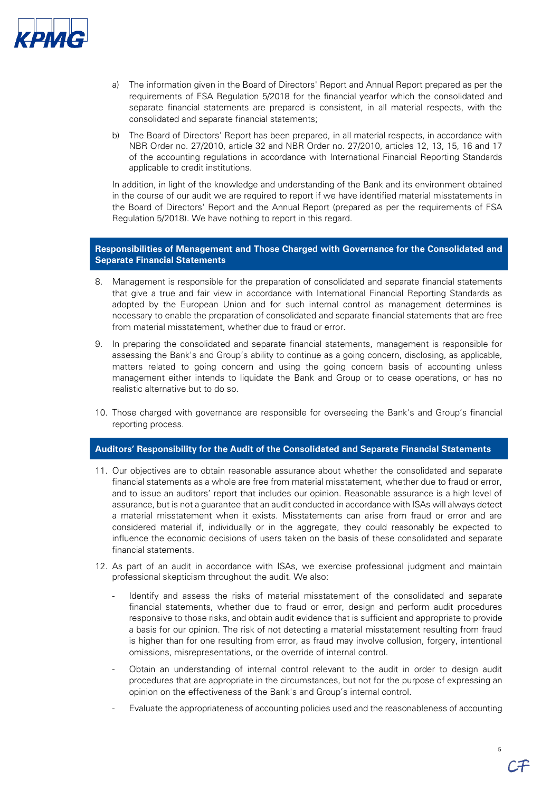

- a) The information given in the Board of Directors' Report and Annual Report prepared as per the requirements of FSA Regulation 5/2018 for the financial yearfor which the consolidated and separate financial statements are prepared is consistent, in all material respects, with the consolidated and separate financial statements;
- b) The Board of Directors' Report has been prepared, in all material respects, in accordance with NBR Order no. 27/2010, article 32 and NBR Order no. 27/2010, articles 12, 13, 15, 16 and 17 of the accounting regulations in accordance with International Financial Reporting Standards applicable to credit institutions.

In addition, in light of the knowledge and understanding of the Bank and its environment obtained in the course of our audit we are required to report if we have identified material misstatements in the Board of Directors' Report and the Annual Report (prepared as per the requirements of FSA Regulation 5/2018). We have nothing to report in this regard.

## **Responsibilities of Management and Those Charged with Governance for the Consolidated and Separate Financial Statements**

- 8. Management is responsible for the preparation of consolidated and separate financial statements that give a true and fair view in accordance with International Financial Reporting Standards as adopted by the European Union and for such internal control as management determines is necessary to enable the preparation of consolidated and separate financial statements that are free from material misstatement, whether due to fraud or error.
- 9. In preparing the consolidated and separate financial statements, management is responsible for assessing the Bank's and Group's ability to continue as a going concern, disclosing, as applicable, matters related to going concern and using the going concern basis of accounting unless management either intends to liquidate the Bank and Group or to cease operations, or has no realistic alternative but to do so.
- 10. Those charged with governance are responsible for overseeing the Bank's and Group's financial reporting process.

## **Auditors' Responsibility for the Audit of the Consolidated and Separate Financial Statements**

- 11. Our objectives are to obtain reasonable assurance about whether the consolidated and separate financial statements as a whole are free from material misstatement, whether due to fraud or error, and to issue an auditors' report that includes our opinion. Reasonable assurance is a high level of assurance, but is not a guarantee that an audit conducted in accordance with ISAs will always detect a material misstatement when it exists. Misstatements can arise from fraud or error and are considered material if, individually or in the aggregate, they could reasonably be expected to influence the economic decisions of users taken on the basis of these consolidated and separate financial statements.
- 12. As part of an audit in accordance with ISAs, we exercise professional judgment and maintain professional skepticism throughout the audit. We also:
	- Identify and assess the risks of material misstatement of the consolidated and separate financial statements, whether due to fraud or error, design and perform audit procedures responsive to those risks, and obtain audit evidence that is sufficient and appropriate to provide a basis for our opinion. The risk of not detecting a material misstatement resulting from fraud is higher than for one resulting from error, as fraud may involve collusion, forgery, intentional omissions, misrepresentations, or the override of internal control.
	- Obtain an understanding of internal control relevant to the audit in order to design audit procedures that are appropriate in the circumstances, but not for the purpose of expressing an opinion on the effectiveness of the Bank's and Group's internal control.
	- Evaluate the appropriateness of accounting policies used and the reasonableness of accounting

5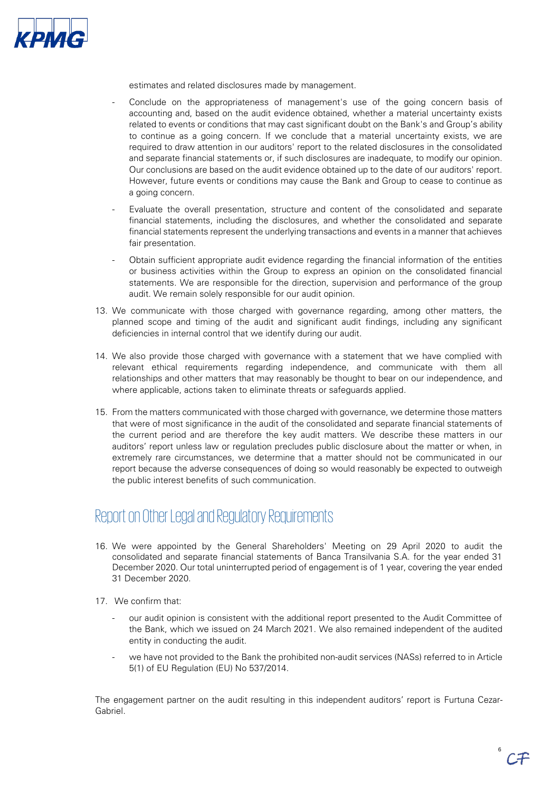

estimates and related disclosures made by management.

- Conclude on the appropriateness of management's use of the going concern basis of accounting and, based on the audit evidence obtained, whether a material uncertainty exists related to events or conditions that may cast significant doubt on the Bank's and Group's ability to continue as a going concern. If we conclude that a material uncertainty exists, we are required to draw attention in our auditors' report to the related disclosures in the consolidated and separate financial statements or, if such disclosures are inadequate, to modify our opinion. Our conclusions are based on the audit evidence obtained up to the date of our auditors' report. However, future events or conditions may cause the Bank and Group to cease to continue as a going concern.
- Evaluate the overall presentation, structure and content of the consolidated and separate financial statements, including the disclosures, and whether the consolidated and separate financial statements represent the underlying transactions and events in a manner that achieves fair presentation.
- Obtain sufficient appropriate audit evidence regarding the financial information of the entities or business activities within the Group to express an opinion on the consolidated financial statements. We are responsible for the direction, supervision and performance of the group audit. We remain solely responsible for our audit opinion.
- 13. We communicate with those charged with governance regarding, among other matters, the planned scope and timing of the audit and significant audit findings, including any significant deficiencies in internal control that we identify during our audit.
- 14. We also provide those charged with governance with a statement that we have complied with relevant ethical requirements regarding independence, and communicate with them all relationships and other matters that may reasonably be thought to bear on our independence, and where applicable, actions taken to eliminate threats or safeguards applied.
- 15. From the matters communicated with those charged with governance, we determine those matters that were of most significance in the audit of the consolidated and separate financial statements of the current period and are therefore the key audit matters. We describe these matters in our auditors' report unless law or regulation precludes public disclosure about the matter or when, in extremely rare circumstances, we determine that a matter should not be communicated in our report because the adverse consequences of doing so would reasonably be expected to outweigh the public interest benefits of such communication.

# Report on Other Legal and Regulatory Requirements

- 16. We were appointed by the General Shareholders' Meeting on 29 April 2020 to audit the consolidated and separate financial statements of Banca Transilvania S.A. for the year ended 31 December 2020. Our total uninterrupted period of engagement is of 1 year, covering the year ended 31 December 2020.
- 17. We confirm that:
	- our audit opinion is consistent with the additional report presented to the Audit Committee of the Bank, which we issued on 24 March 2021. We also remained independent of the audited entity in conducting the audit.
	- we have not provided to the Bank the prohibited non-audit services (NASs) referred to in Article 5(1) of EU Regulation (EU) No 537/2014.

The engagement partner on the audit resulting in this independent auditors' report is Furtuna Cezar-Gabriel.